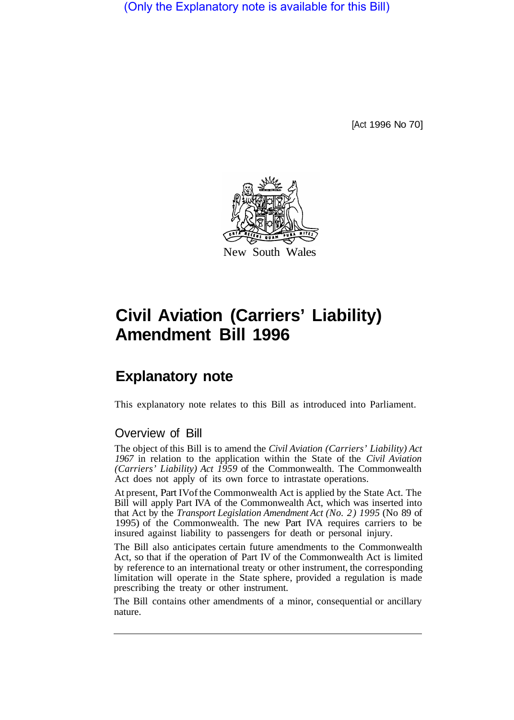(Only the Explanatory note is available for this Bill)

[Act 1996 No 70]



# **Civil Aviation (Carriers' Liability) Amendment Bill 1996**

## **Explanatory note**

This explanatory note relates to this Bill as introduced into Parliament.

### Overview of Bill

The object of this Bill is to amend the *Civil Aviation (Carriers' Liability) Act 1967* in relation to the application within the State of the *Civil Aviation (Carriers' Liability) Act 1959* of the Commonwealth. The Commonwealth Act does not apply of its own force to intrastate operations.

At present, Part IV of the Commonwealth Act is applied by the State Act. The Bill will apply Part IVA of the Commonwealth Act, which was inserted into that Act by the *Transport Legislation Amendment Act (No. 2) 1995* (No 89 of 1995) of the Commonwealth. The new Part IVA requires carriers to be insured against liability to passengers for death or personal injury.

The Bill also anticipates certain future amendments to the Commonwealth Act, so that if the operation of Part IV of the Commonwealth Act is limited by reference to an international treaty or other instrument, the corresponding limitation will operate in the State sphere, provided a regulation is made prescribing the treaty or other instrument.

The Bill contains other amendments of a minor, consequential or ancillary nature.